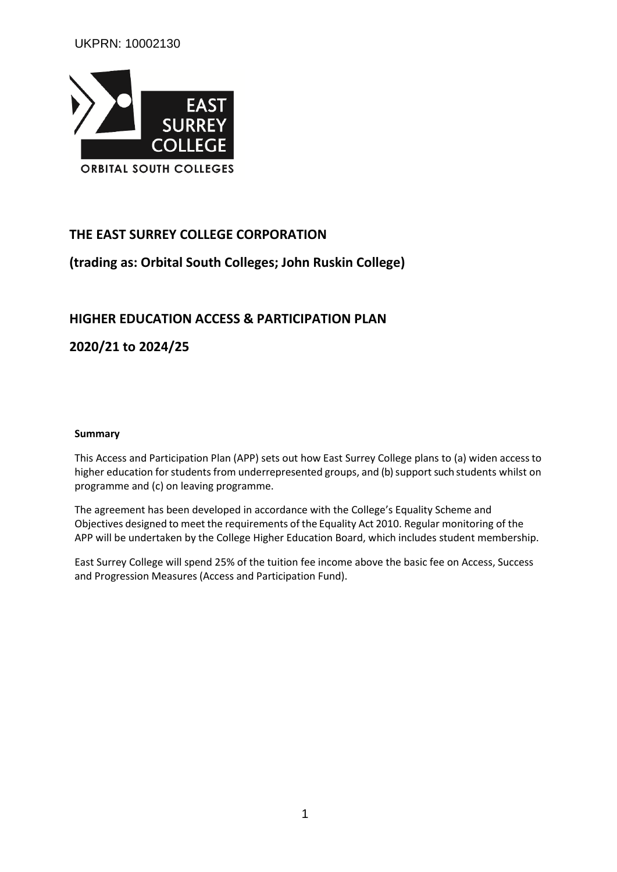UKPRN: 10002130



# **THE EAST SURREY COLLEGE CORPORATION**

# **(trading as: Orbital South Colleges; John Ruskin College)**

# **HIGHER EDUCATION ACCESS & PARTICIPATION PLAN**

**2020/21 to 2024/25**

#### **Summary**

This Access and Participation Plan (APP) sets out how East Surrey College plans to (a) widen accessto higher education for students from underrepresented groups, and (b) support such students whilst on programme and (c) on leaving programme.

The agreement has been developed in accordance with the College's Equality Scheme and Objectives designed to meet the requirements of the Equality Act 2010. Regular monitoring of the APP will be undertaken by the College Higher Education Board, which includes student membership.

East Surrey College will spend 25% of the tuition fee income above the basic fee on Access, Success and Progression Measures (Access and Participation Fund).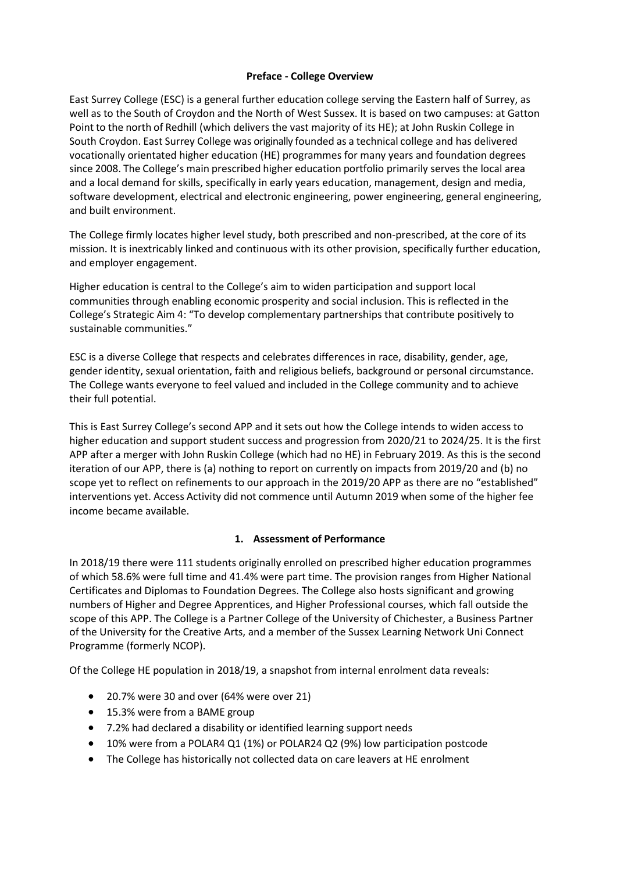#### **Preface - College Overview**

East Surrey College (ESC) is a general further education college serving the Eastern half of Surrey, as well as to the South of Croydon and the North of West Sussex. It is based on two campuses: at Gatton Point to the north of Redhill (which delivers the vast majority of its HE); at John Ruskin College in South Croydon. East Surrey College was originally founded as a technical college and has delivered vocationally orientated higher education (HE) programmes for many years and foundation degrees since 2008. The College's main prescribed higher education portfolio primarily serves the local area and a local demand for skills, specifically in early years education, management, design and media, software development, electrical and electronic engineering, power engineering, general engineering, and built environment.

The College firmly locates higher level study, both prescribed and non-prescribed, at the core of its mission. It is inextricably linked and continuous with its other provision, specifically further education, and employer engagement.

Higher education is central to the College's aim to widen participation and support local communities through enabling economic prosperity and social inclusion. This is reflected in the College's Strategic Aim 4: "To develop complementary partnerships that contribute positively to sustainable communities."

ESC is a diverse College that respects and celebrates differences in race, disability, gender, age, gender identity, sexual orientation, faith and religious beliefs, background or personal circumstance. The College wants everyone to feel valued and included in the College community and to achieve their full potential.

This is East Surrey College's second APP and it sets out how the College intends to widen access to higher education and support student success and progression from 2020/21 to 2024/25. It is the first APP after a merger with John Ruskin College (which had no HE) in February 2019. As this is the second iteration of our APP, there is (a) nothing to report on currently on impacts from 2019/20 and (b) no scope yet to reflect on refinements to our approach in the 2019/20 APP as there are no "established" interventions yet. Access Activity did not commence until Autumn 2019 when some of the higher fee income became available.

## **1. Assessment of Performance**

In 2018/19 there were 111 students originally enrolled on prescribed higher education programmes of which 58.6% were full time and 41.4% were part time. The provision ranges from Higher National Certificates and Diplomas to Foundation Degrees. The College also hosts significant and growing numbers of Higher and Degree Apprentices, and Higher Professional courses, which fall outside the scope of this APP. The College is a Partner College of the University of Chichester, a Business Partner of the University for the Creative Arts, and a member of the Sussex Learning Network Uni Connect Programme (formerly NCOP).

Of the College HE population in 2018/19, a snapshot from internal enrolment data reveals:

- 20.7% were 30 and over (64% were over 21)
- 15.3% were from a BAME group
- 7.2% had declared a disability or identified learning support needs
- 10% were from a POLAR4 Q1 (1%) or POLAR24 Q2 (9%) low participation postcode
- The College has historically not collected data on care leavers at HE enrolment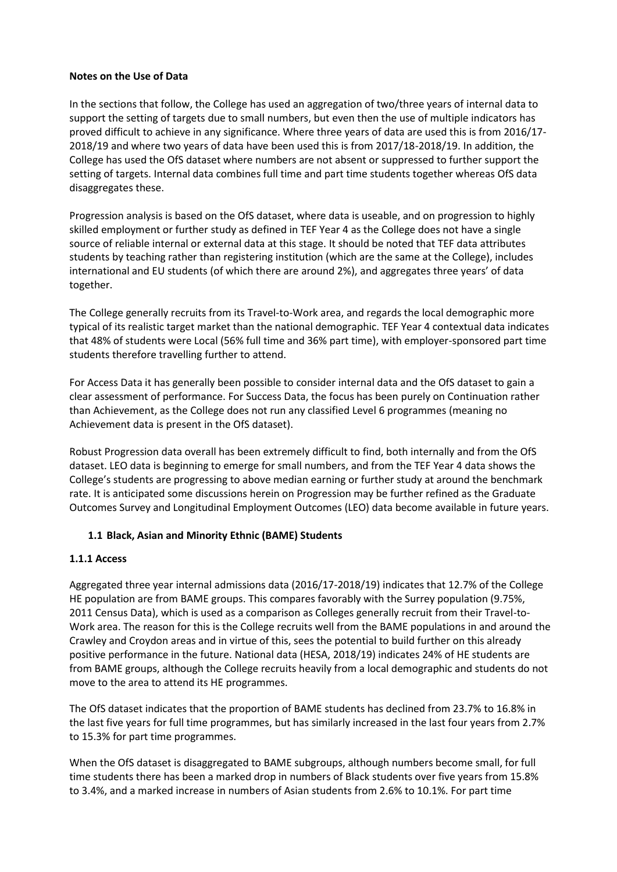#### **Notes on the Use of Data**

In the sections that follow, the College has used an aggregation of two/three years of internal data to support the setting of targets due to small numbers, but even then the use of multiple indicators has proved difficult to achieve in any significance. Where three years of data are used this is from 2016/17- 2018/19 and where two years of data have been used this is from 2017/18-2018/19. In addition, the College has used the OfS dataset where numbers are not absent or suppressed to further support the setting of targets. Internal data combines full time and part time students together whereas OfS data disaggregates these.

Progression analysis is based on the OfS dataset, where data is useable, and on progression to highly skilled employment or further study as defined in TEF Year 4 as the College does not have a single source of reliable internal or external data at this stage. It should be noted that TEF data attributes students by teaching rather than registering institution (which are the same at the College), includes international and EU students (of which there are around 2%), and aggregates three years' of data together.

The College generally recruits from its Travel-to-Work area, and regards the local demographic more typical of its realistic target market than the national demographic. TEF Year 4 contextual data indicates that 48% of students were Local (56% full time and 36% part time), with employer-sponsored part time students therefore travelling further to attend.

For Access Data it has generally been possible to consider internal data and the OfS dataset to gain a clear assessment of performance. For Success Data, the focus has been purely on Continuation rather than Achievement, as the College does not run any classified Level 6 programmes (meaning no Achievement data is present in the OfS dataset).

Robust Progression data overall has been extremely difficult to find, both internally and from the OfS dataset. LEO data is beginning to emerge for small numbers, and from the TEF Year 4 data shows the College's students are progressing to above median earning or further study at around the benchmark rate. It is anticipated some discussions herein on Progression may be further refined as the Graduate Outcomes Survey and Longitudinal Employment Outcomes (LEO) data become available in future years.

## **1.1 Black, Asian and Minority Ethnic (BAME) Students**

## **1.1.1 Access**

Aggregated three year internal admissions data (2016/17-2018/19) indicates that 12.7% of the College HE population are from BAME groups. This compares favorably with the Surrey population (9.75%, 2011 Census Data), which is used as a comparison as Colleges generally recruit from their Travel-to-Work area. The reason for this is the College recruits well from the BAME populations in and around the Crawley and Croydon areas and in virtue of this, sees the potential to build further on this already positive performance in the future. National data (HESA, 2018/19) indicates 24% of HE students are from BAME groups, although the College recruits heavily from a local demographic and students do not move to the area to attend its HE programmes.

The OfS dataset indicates that the proportion of BAME students has declined from 23.7% to 16.8% in the last five years for full time programmes, but has similarly increased in the last four years from 2.7% to 15.3% for part time programmes.

When the OfS dataset is disaggregated to BAME subgroups, although numbers become small, for full time students there has been a marked drop in numbers of Black students over five years from 15.8% to 3.4%, and a marked increase in numbers of Asian students from 2.6% to 10.1%. For part time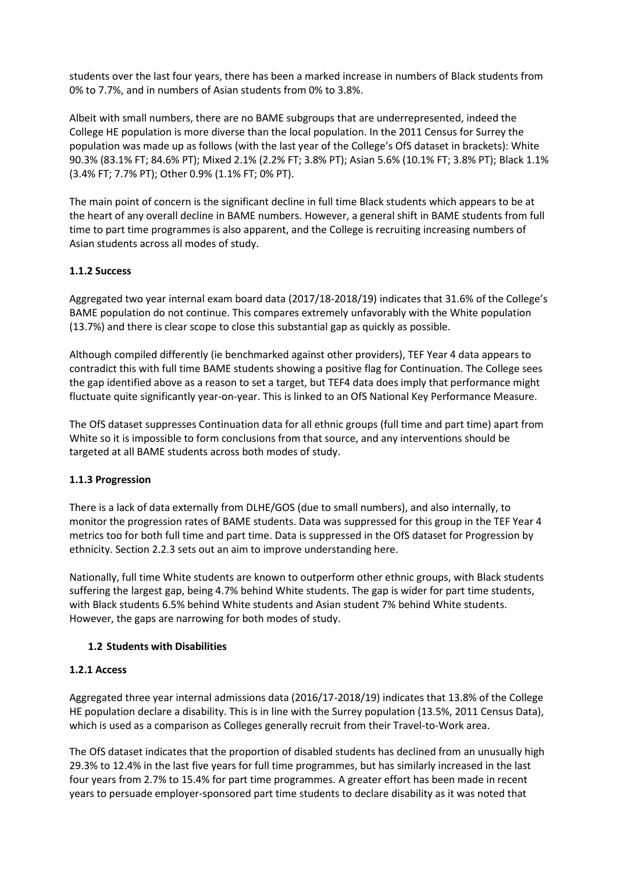students over the last four years, there has been a marked increase in numbers of Black students from 0% to 7.7%, and in numbers of Asian students from 0% to 3.8%.

Albeit with small numbers, there are no BAME subgroups that are underrepresented, indeed the College HE population is more diverse than the local population. In the 2011 Census for Surrey the population was made up as follows (with the last year of the College's OfS dataset in brackets): White 90.3% (83.1% FT; 84.6% PT); Mixed 2.1% (2.2% FT; 3.8% PT); Asian 5.6% (10.1% FT; 3.8% PT); Black 1.1% (3.4% FT; 7.7% PT); Other 0.9% (1.1% FT; 0% PT).

The main point of concern is the significant decline in full time Black students which appears to be at the heart of any overall decline in BAME numbers. However, a general shift in BAME students from full time to part time programmes is also apparent, and the College is recruiting increasing numbers of Asian students across all modes of study.

## **1.1.2 Success**

Aggregated two year internal exam board data (2017/18-2018/19) indicates that 31.6% of the College's BAME population do not continue. This compares extremely unfavorably with the White population (13.7%) and there is clear scope to close this substantial gap as quickly as possible.

Although compiled differently (ie benchmarked against other providers), TEF Year 4 data appears to contradict this with full time BAME students showing a positive flag for Continuation. The College sees the gap identified above as a reason to set a target, but TEF4 data does imply that performance might fluctuate quite significantly year-on-year. This is linked to an OfS National Key Performance Measure.

The OfS dataset suppresses Continuation data for all ethnic groups (full time and part time) apart from White so it is impossible to form conclusions from that source, and any interventions should be targeted at all BAME students across both modes of study.

#### **1.1.3 Progression**

There is a lack of data externally from DLHE/GOS (due to small numbers), and also internally, to monitor the progression rates of BAME students. Data was suppressed for this group in the TEF Year 4 metrics too for both full time and part time. Data is suppressed in the OfS dataset for Progression by ethnicity. Section 2.2.3 sets out an aim to improve understanding here.

Nationally, full time White students are known to outperform other ethnic groups, with Black students suffering the largest gap, being 4.7% behind White students. The gap is wider for part time students, with Black students 6.5% behind White students and Asian student 7% behind White students. However, the gaps are narrowing for both modes of study.

## **1.2 Students with Disabilities**

#### **1.2.1 Access**

Aggregated three year internal admissions data (2016/17-2018/19) indicates that 13.8% of the College HE population declare a disability. This is in line with the Surrey population (13.5%, 2011 Census Data), which is used as a comparison as Colleges generally recruit from their Travel-to-Work area.

The OfS dataset indicates that the proportion of disabled students has declined from an unusually high 29.3% to 12.4% in the last five years for full time programmes, but has similarly increased in the last four years from 2.7% to 15.4% for part time programmes. A greater effort has been made in recent years to persuade employer-sponsored part time students to declare disability as it was noted that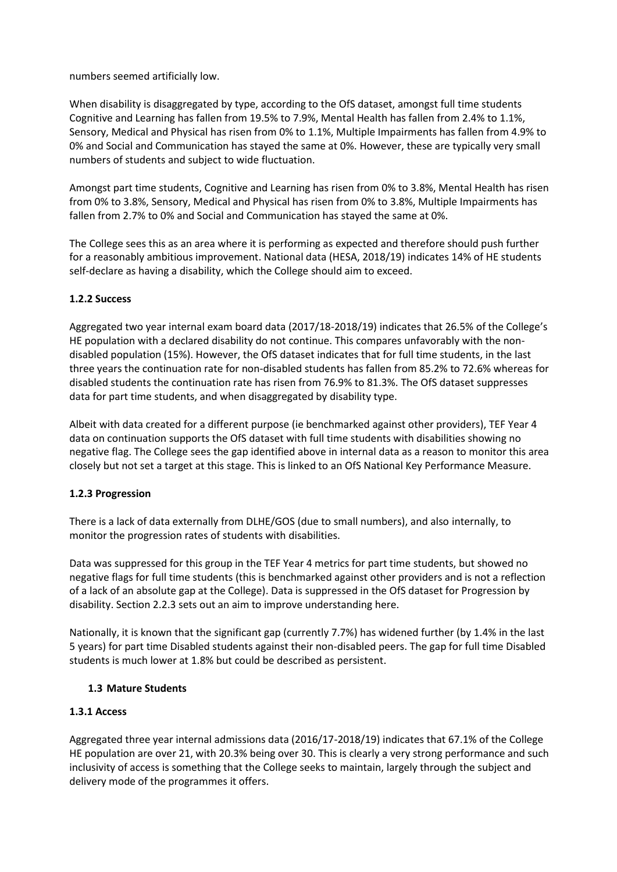numbers seemed artificially low.

When disability is disaggregated by type, according to the OfS dataset, amongst full time students Cognitive and Learning has fallen from 19.5% to 7.9%, Mental Health has fallen from 2.4% to 1.1%, Sensory, Medical and Physical has risen from 0% to 1.1%, Multiple Impairments has fallen from 4.9% to 0% and Social and Communication has stayed the same at 0%. However, these are typically very small numbers of students and subject to wide fluctuation.

Amongst part time students, Cognitive and Learning has risen from 0% to 3.8%, Mental Health has risen from 0% to 3.8%, Sensory, Medical and Physical has risen from 0% to 3.8%, Multiple Impairments has fallen from 2.7% to 0% and Social and Communication has stayed the same at 0%.

The College sees this as an area where it is performing as expected and therefore should push further for a reasonably ambitious improvement. National data (HESA, 2018/19) indicates 14% of HE students self-declare as having a disability, which the College should aim to exceed.

## **1.2.2 Success**

Aggregated two year internal exam board data (2017/18-2018/19) indicates that 26.5% of the College's HE population with a declared disability do not continue. This compares unfavorably with the nondisabled population (15%). However, the OfS dataset indicates that for full time students, in the last three years the continuation rate for non-disabled students has fallen from 85.2% to 72.6% whereas for disabled students the continuation rate has risen from 76.9% to 81.3%. The OfS dataset suppresses data for part time students, and when disaggregated by disability type.

Albeit with data created for a different purpose (ie benchmarked against other providers), TEF Year 4 data on continuation supports the OfS dataset with full time students with disabilities showing no negative flag. The College sees the gap identified above in internal data as a reason to monitor this area closely but not set a target at this stage. This is linked to an OfS National Key Performance Measure.

## **1.2.3 Progression**

There is a lack of data externally from DLHE/GOS (due to small numbers), and also internally, to monitor the progression rates of students with disabilities.

Data was suppressed for this group in the TEF Year 4 metrics for part time students, but showed no negative flags for full time students (this is benchmarked against other providers and is not a reflection of a lack of an absolute gap at the College). Data is suppressed in the OfS dataset for Progression by disability. Section 2.2.3 sets out an aim to improve understanding here.

Nationally, it is known that the significant gap (currently 7.7%) has widened further (by 1.4% in the last 5 years) for part time Disabled students against their non-disabled peers. The gap for full time Disabled students is much lower at 1.8% but could be described as persistent.

## **1.3 Mature Students**

## **1.3.1 Access**

Aggregated three year internal admissions data (2016/17-2018/19) indicates that 67.1% of the College HE population are over 21, with 20.3% being over 30. This is clearly a very strong performance and such inclusivity of access is something that the College seeks to maintain, largely through the subject and delivery mode of the programmes it offers.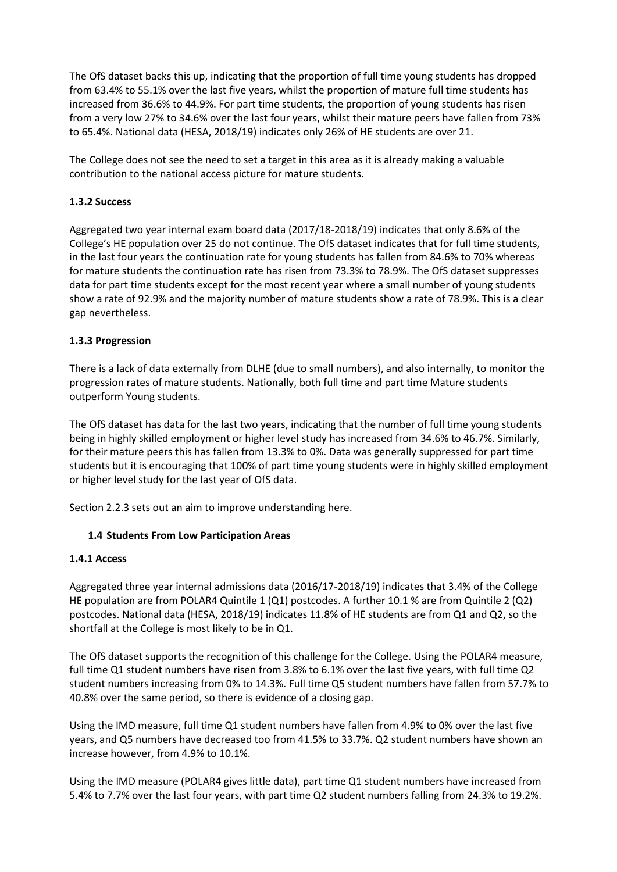The OfS dataset backs this up, indicating that the proportion of full time young students has dropped from 63.4% to 55.1% over the last five years, whilst the proportion of mature full time students has increased from 36.6% to 44.9%. For part time students, the proportion of young students has risen from a very low 27% to 34.6% over the last four years, whilst their mature peers have fallen from 73% to 65.4%. National data (HESA, 2018/19) indicates only 26% of HE students are over 21.

The College does not see the need to set a target in this area as it is already making a valuable contribution to the national access picture for mature students.

## **1.3.2 Success**

Aggregated two year internal exam board data (2017/18-2018/19) indicates that only 8.6% of the College's HE population over 25 do not continue. The OfS dataset indicates that for full time students, in the last four years the continuation rate for young students has fallen from 84.6% to 70% whereas for mature students the continuation rate has risen from 73.3% to 78.9%. The OfS dataset suppresses data for part time students except for the most recent year where a small number of young students show a rate of 92.9% and the majority number of mature students show a rate of 78.9%. This is a clear gap nevertheless.

#### **1.3.3 Progression**

There is a lack of data externally from DLHE (due to small numbers), and also internally, to monitor the progression rates of mature students. Nationally, both full time and part time Mature students outperform Young students.

The OfS dataset has data for the last two years, indicating that the number of full time young students being in highly skilled employment or higher level study has increased from 34.6% to 46.7%. Similarly, for their mature peers this has fallen from 13.3% to 0%. Data was generally suppressed for part time students but it is encouraging that 100% of part time young students were in highly skilled employment or higher level study for the last year of OfS data.

Section 2.2.3 sets out an aim to improve understanding here.

## **1.4 Students From Low Participation Areas**

#### **1.4.1 Access**

Aggregated three year internal admissions data (2016/17-2018/19) indicates that 3.4% of the College HE population are from POLAR4 Quintile 1 (Q1) postcodes. A further 10.1 % are from Quintile 2 (Q2) postcodes. National data (HESA, 2018/19) indicates 11.8% of HE students are from Q1 and Q2, so the shortfall at the College is most likely to be in Q1.

The OfS dataset supports the recognition of this challenge for the College. Using the POLAR4 measure, full time Q1 student numbers have risen from 3.8% to 6.1% over the last five years, with full time Q2 student numbers increasing from 0% to 14.3%. Full time Q5 student numbers have fallen from 57.7% to 40.8% over the same period, so there is evidence of a closing gap.

Using the IMD measure, full time Q1 student numbers have fallen from 4.9% to 0% over the last five years, and Q5 numbers have decreased too from 41.5% to 33.7%. Q2 student numbers have shown an increase however, from 4.9% to 10.1%.

Using the IMD measure (POLAR4 gives little data), part time Q1 student numbers have increased from 5.4% to 7.7% over the last four years, with part time Q2 student numbers falling from 24.3% to 19.2%.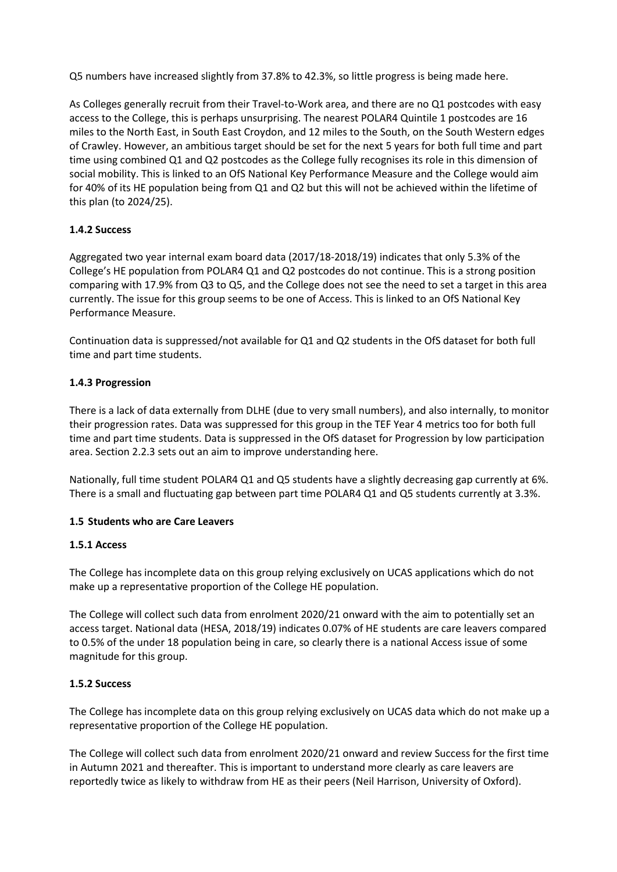Q5 numbers have increased slightly from 37.8% to 42.3%, so little progress is being made here.

As Colleges generally recruit from their Travel-to-Work area, and there are no Q1 postcodes with easy access to the College, this is perhaps unsurprising. The nearest POLAR4 Quintile 1 postcodes are 16 miles to the North East, in South East Croydon, and 12 miles to the South, on the South Western edges of Crawley. However, an ambitious target should be set for the next 5 years for both full time and part time using combined Q1 and Q2 postcodes as the College fully recognises its role in this dimension of social mobility. This is linked to an OfS National Key Performance Measure and the College would aim for 40% of its HE population being from Q1 and Q2 but this will not be achieved within the lifetime of this plan (to 2024/25).

#### **1.4.2 Success**

Aggregated two year internal exam board data (2017/18-2018/19) indicates that only 5.3% of the College's HE population from POLAR4 Q1 and Q2 postcodes do not continue. This is a strong position comparing with 17.9% from Q3 to Q5, and the College does not see the need to set a target in this area currently. The issue for this group seems to be one of Access. This is linked to an OfS National Key Performance Measure.

Continuation data is suppressed/not available for Q1 and Q2 students in the OfS dataset for both full time and part time students.

#### **1.4.3 Progression**

There is a lack of data externally from DLHE (due to very small numbers), and also internally, to monitor their progression rates. Data was suppressed for this group in the TEF Year 4 metrics too for both full time and part time students. Data is suppressed in the OfS dataset for Progression by low participation area. Section 2.2.3 sets out an aim to improve understanding here.

Nationally, full time student POLAR4 Q1 and Q5 students have a slightly decreasing gap currently at 6%. There is a small and fluctuating gap between part time POLAR4 Q1 and Q5 students currently at 3.3%.

#### **1.5 Students who are Care Leavers**

#### **1.5.1 Access**

The College has incomplete data on this group relying exclusively on UCAS applications which do not make up a representative proportion of the College HE population.

The College will collect such data from enrolment 2020/21 onward with the aim to potentially set an access target. National data (HESA, 2018/19) indicates 0.07% of HE students are care leavers compared to 0.5% of the under 18 population being in care, so clearly there is a national Access issue of some magnitude for this group.

## **1.5.2 Success**

The College has incomplete data on this group relying exclusively on UCAS data which do not make up a representative proportion of the College HE population.

The College will collect such data from enrolment 2020/21 onward and review Success for the first time in Autumn 2021 and thereafter. This is important to understand more clearly as care leavers are reportedly twice as likely to withdraw from HE as their peers (Neil Harrison, University of Oxford).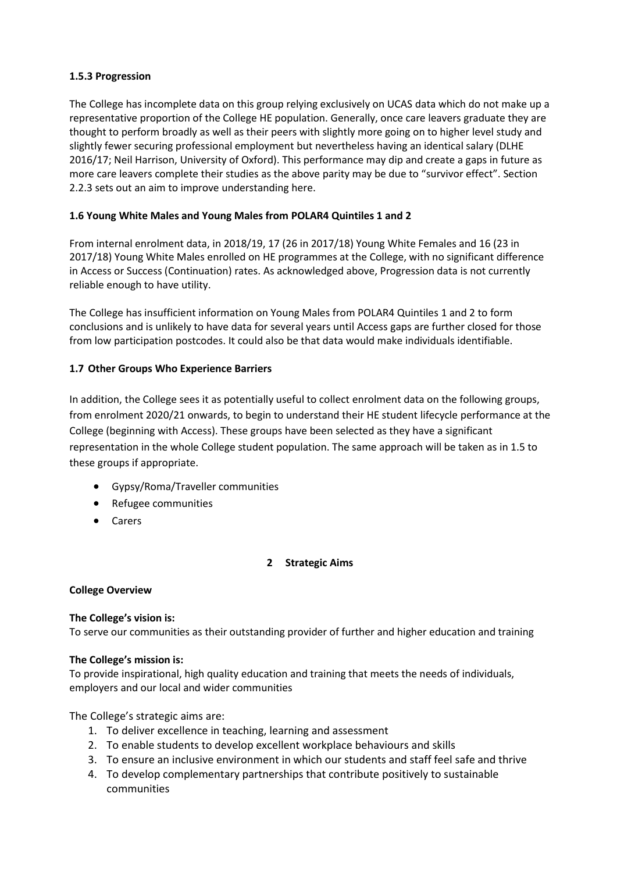## **1.5.3 Progression**

The College has incomplete data on this group relying exclusively on UCAS data which do not make up a representative proportion of the College HE population. Generally, once care leavers graduate they are thought to perform broadly as well as their peers with slightly more going on to higher level study and slightly fewer securing professional employment but nevertheless having an identical salary (DLHE 2016/17; Neil Harrison, University of Oxford). This performance may dip and create a gaps in future as more care leavers complete their studies as the above parity may be due to "survivor effect". Section 2.2.3 sets out an aim to improve understanding here.

## **1.6 Young White Males and Young Males from POLAR4 Quintiles 1 and 2**

From internal enrolment data, in 2018/19, 17 (26 in 2017/18) Young White Females and 16 (23 in 2017/18) Young White Males enrolled on HE programmes at the College, with no significant difference in Access or Success (Continuation) rates. As acknowledged above, Progression data is not currently reliable enough to have utility.

The College has insufficient information on Young Males from POLAR4 Quintiles 1 and 2 to form conclusions and is unlikely to have data for several years until Access gaps are further closed for those from low participation postcodes. It could also be that data would make individuals identifiable.

## **1.7 Other Groups Who Experience Barriers**

In addition, the College sees it as potentially useful to collect enrolment data on the following groups, from enrolment 2020/21 onwards, to begin to understand their HE student lifecycle performance at the College (beginning with Access). These groups have been selected as they have a significant representation in the whole College student population. The same approach will be taken as in 1.5 to these groups if appropriate.

- Gypsy/Roma/Traveller communities
- Refugee communities
- Carers

## **2 Strategic Aims**

## **College Overview**

#### **The College's vision is:**

To serve our communities as their outstanding provider of further and higher education and training

## **The College's mission is:**

To provide inspirational, high quality education and training that meets the needs of individuals, employers and our local and wider communities

The College's strategic aims are:

- 1. To deliver excellence in teaching, learning and assessment
- 2. To enable students to develop excellent workplace behaviours and skills
- 3. To ensure an inclusive environment in which our students and staff feel safe and thrive
- 4. To develop complementary partnerships that contribute positively to sustainable communities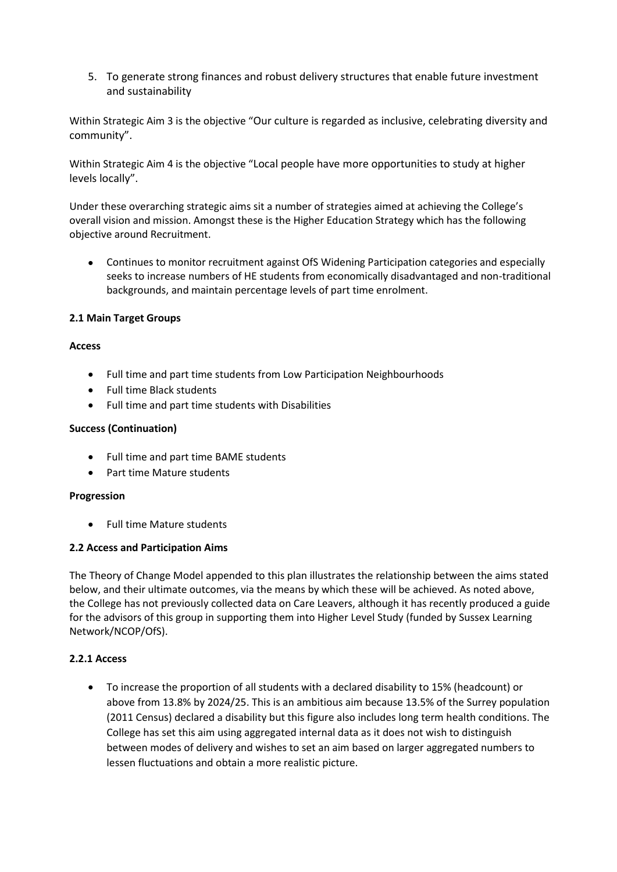5. To generate strong finances and robust delivery structures that enable future investment and sustainability

Within Strategic Aim 3 is the objective "Our culture is regarded as inclusive, celebrating diversity and community".

Within Strategic Aim 4 is the objective "Local people have more opportunities to study at higher levels locally".

Under these overarching strategic aims sit a number of strategies aimed at achieving the College's overall vision and mission. Amongst these is the Higher Education Strategy which has the following objective around Recruitment.

• Continues to monitor recruitment against OfS Widening Participation categories and especially seeks to increase numbers of HE students from economically disadvantaged and non-traditional backgrounds, and maintain percentage levels of part time enrolment.

#### **2.1 Main Target Groups**

#### **Access**

- Full time and part time students from Low Participation Neighbourhoods
- Full time Black students
- Full time and part time students with Disabilities

#### **Success (Continuation)**

- Full time and part time BAME students
- Part time Mature students

#### **Progression**

• Full time Mature students

#### **2.2 Access and Participation Aims**

The Theory of Change Model appended to this plan illustrates the relationship between the aims stated below, and their ultimate outcomes, via the means by which these will be achieved. As noted above, the College has not previously collected data on Care Leavers, although it has recently produced a guide for the advisors of this group in supporting them into Higher Level Study (funded by Sussex Learning Network/NCOP/OfS).

#### **2.2.1 Access**

• To increase the proportion of all students with a declared disability to 15% (headcount) or above from 13.8% by 2024/25. This is an ambitious aim because 13.5% of the Surrey population (2011 Census) declared a disability but this figure also includes long term health conditions. The College has set this aim using aggregated internal data as it does not wish to distinguish between modes of delivery and wishes to set an aim based on larger aggregated numbers to lessen fluctuations and obtain a more realistic picture.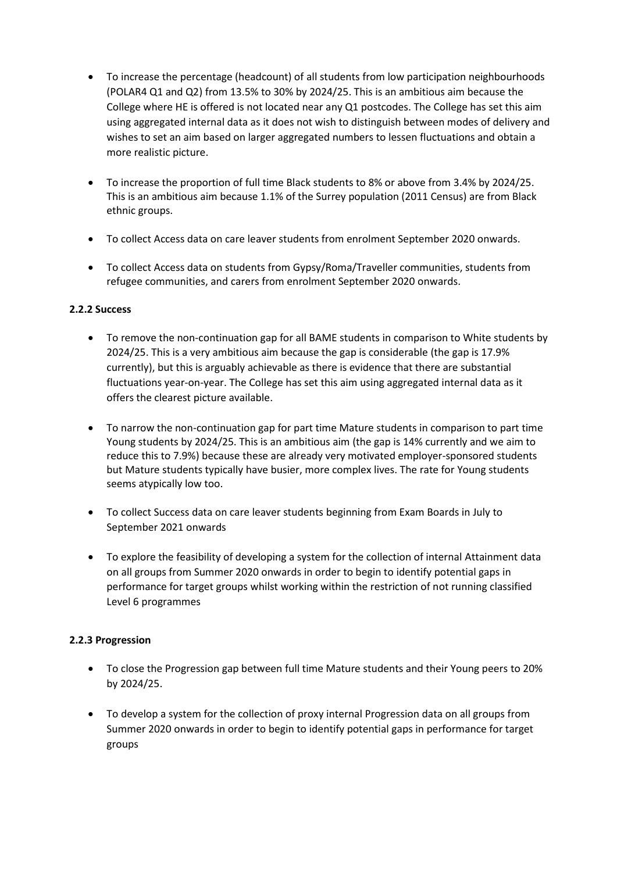- To increase the percentage (headcount) of all students from low participation neighbourhoods (POLAR4 Q1 and Q2) from 13.5% to 30% by 2024/25. This is an ambitious aim because the College where HE is offered is not located near any Q1 postcodes. The College has set this aim using aggregated internal data as it does not wish to distinguish between modes of delivery and wishes to set an aim based on larger aggregated numbers to lessen fluctuations and obtain a more realistic picture.
- To increase the proportion of full time Black students to 8% or above from 3.4% by 2024/25. This is an ambitious aim because 1.1% of the Surrey population (2011 Census) are from Black ethnic groups.
- To collect Access data on care leaver students from enrolment September 2020 onwards.
- To collect Access data on students from Gypsy/Roma/Traveller communities, students from refugee communities, and carers from enrolment September 2020 onwards.

## **2.2.2 Success**

- To remove the non-continuation gap for all BAME students in comparison to White students by 2024/25. This is a very ambitious aim because the gap is considerable (the gap is 17.9% currently), but this is arguably achievable as there is evidence that there are substantial fluctuations year-on-year. The College has set this aim using aggregated internal data as it offers the clearest picture available.
- To narrow the non-continuation gap for part time Mature students in comparison to part time Young students by 2024/25. This is an ambitious aim (the gap is 14% currently and we aim to reduce this to 7.9%) because these are already very motivated employer-sponsored students but Mature students typically have busier, more complex lives. The rate for Young students seems atypically low too.
- To collect Success data on care leaver students beginning from Exam Boards in July to September 2021 onwards
- To explore the feasibility of developing a system for the collection of internal Attainment data on all groups from Summer 2020 onwards in order to begin to identify potential gaps in performance for target groups whilst working within the restriction of not running classified Level 6 programmes

## **2.2.3 Progression**

- To close the Progression gap between full time Mature students and their Young peers to 20% by 2024/25.
- To develop a system for the collection of proxy internal Progression data on all groups from Summer 2020 onwards in order to begin to identify potential gaps in performance for target groups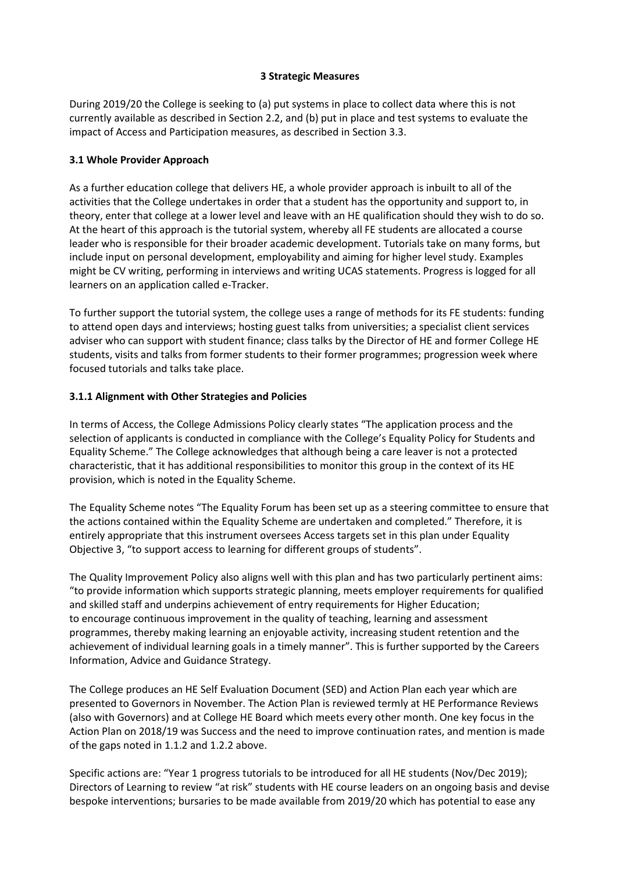#### **3 Strategic Measures**

During 2019/20 the College is seeking to (a) put systems in place to collect data where this is not currently available as described in Section 2.2, and (b) put in place and test systems to evaluate the impact of Access and Participation measures, as described in Section 3.3.

## **3.1 Whole Provider Approach**

As a further education college that delivers HE, a whole provider approach is inbuilt to all of the activities that the College undertakes in order that a student has the opportunity and support to, in theory, enter that college at a lower level and leave with an HE qualification should they wish to do so. At the heart of this approach is the tutorial system, whereby all FE students are allocated a course leader who is responsible for their broader academic development. Tutorials take on many forms, but include input on personal development, employability and aiming for higher level study. Examples might be CV writing, performing in interviews and writing UCAS statements. Progress is logged for all learners on an application called e-Tracker.

To further support the tutorial system, the college uses a range of methods for its FE students: funding to attend open days and interviews; hosting guest talks from universities; a specialist client services adviser who can support with student finance; class talks by the Director of HE and former College HE students, visits and talks from former students to their former programmes; progression week where focused tutorials and talks take place.

## **3.1.1 Alignment with Other Strategies and Policies**

In terms of Access, the College Admissions Policy clearly states "The application process and the selection of applicants is conducted in compliance with the College's Equality Policy for Students and Equality Scheme." The College acknowledges that although being a care leaver is not a protected characteristic, that it has additional responsibilities to monitor this group in the context of its HE provision, which is noted in the Equality Scheme.

The Equality Scheme notes "The Equality Forum has been set up as a steering committee to ensure that the actions contained within the Equality Scheme are undertaken and completed." Therefore, it is entirely appropriate that this instrument oversees Access targets set in this plan under Equality Objective 3, "to support access to learning for different groups of students".

The Quality Improvement Policy also aligns well with this plan and has two particularly pertinent aims: "to provide information which supports strategic planning, meets employer requirements for qualified and skilled staff and underpins achievement of entry requirements for Higher Education; to encourage continuous improvement in the quality of teaching, learning and assessment programmes, thereby making learning an enjoyable activity, increasing student retention and the achievement of individual learning goals in a timely manner". This is further supported by the Careers Information, Advice and Guidance Strategy.

The College produces an HE Self Evaluation Document (SED) and Action Plan each year which are presented to Governors in November. The Action Plan is reviewed termly at HE Performance Reviews (also with Governors) and at College HE Board which meets every other month. One key focus in the Action Plan on 2018/19 was Success and the need to improve continuation rates, and mention is made of the gaps noted in 1.1.2 and 1.2.2 above.

Specific actions are: "Year 1 progress tutorials to be introduced for all HE students (Nov/Dec 2019); Directors of Learning to review "at risk" students with HE course leaders on an ongoing basis and devise bespoke interventions; bursaries to be made available from 2019/20 which has potential to ease any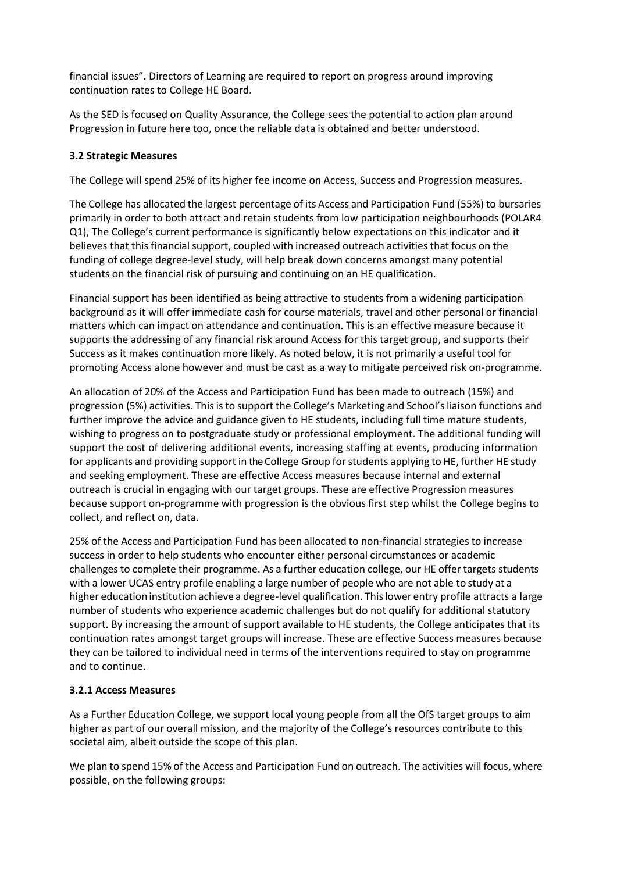financial issues". Directors of Learning are required to report on progress around improving continuation rates to College HE Board.

As the SED is focused on Quality Assurance, the College sees the potential to action plan around Progression in future here too, once the reliable data is obtained and better understood.

#### **3.2 Strategic Measures**

The College will spend 25% of its higher fee income on Access, Success and Progression measures.

The College has allocated the largest percentage of its Access and Participation Fund (55%) to bursaries primarily in order to both attract and retain students from low participation neighbourhoods (POLAR4 Q1), The College's current performance is significantly below expectations on this indicator and it believes that thisfinancial support, coupled with increased outreach activities that focus on the funding of college degree-level study, will help break down concerns amongst many potential students on the financial risk of pursuing and continuing on an HE qualification.

Financial support has been identified as being attractive to students from a widening participation background as it will offer immediate cash for course materials, travel and other personal or financial matters which can impact on attendance and continuation. This is an effective measure because it supports the addressing of any financial risk around Access for this target group, and supports their Success as it makes continuation more likely. As noted below, it is not primarily a useful tool for promoting Access alone however and must be cast as a way to mitigate perceived risk on-programme.

An allocation of 20% of the Access and Participation Fund has been made to outreach (15%) and progression (5%) activities. Thisisto support the College's Marketing and School'sliaison functions and further improve the advice and guidance given to HE students, including full time mature students, wishing to progress on to postgraduate study or professional employment. The additional funding will support the cost of delivering additional events, increasing staffing at events, producing information for applicants and providing support in the College Group forstudents applying to HE, further HE study and seeking employment. These are effective Access measures because internal and external outreach is crucial in engaging with our target groups. These are effective Progression measures because support on-programme with progression is the obvious first step whilst the College begins to collect, and reflect on, data.

25% of the Access and Participation Fund has been allocated to non-financial strategies to increase success in order to help students who encounter either personal circumstances or academic challenges to complete their programme. As a further education college, our HE offer targets students with a lower UCAS entry profile enabling a large number of people who are not able to study at a higher education institution achieve a degree-level qualification. This lower entry profile attracts a large number of students who experience academic challenges but do not qualify for additional statutory support. By increasing the amount of support available to HE students, the College anticipates that its continuation rates amongst target groups will increase. These are effective Success measures because they can be tailored to individual need in terms of the interventions required to stay on programme and to continue.

## **3.2.1 Access Measures**

As a Further Education College, we support local young people from all the OfS target groups to aim higher as part of our overall mission, and the majority of the College's resources contribute to this societal aim, albeit outside the scope of this plan.

We plan to spend 15% of the Access and Participation Fund on outreach. The activities will focus, where possible, on the following groups: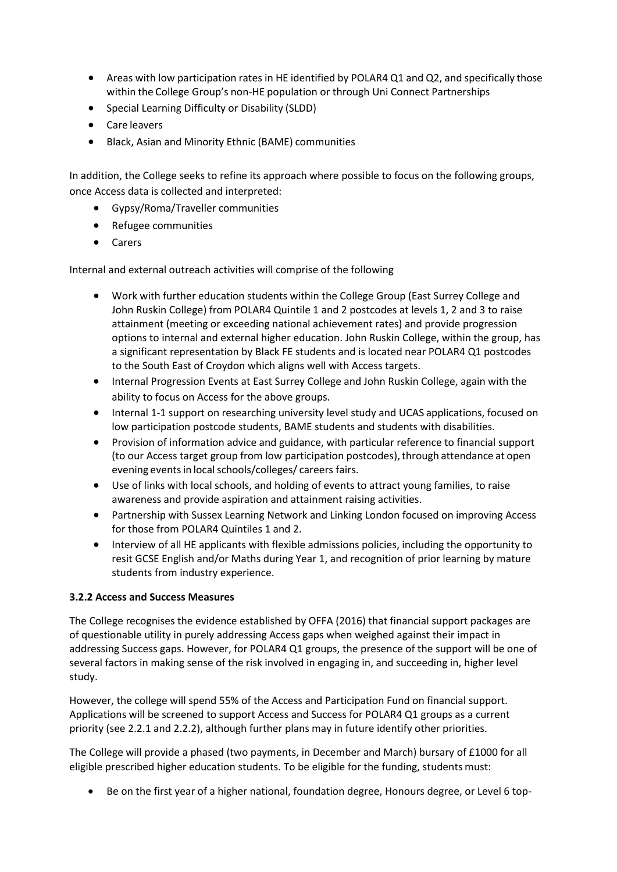- Areas with low participation rates in HE identified by POLAR4 Q1 and Q2, and specifically those within the College Group's non-HE population or through Uni Connect Partnerships
- Special Learning Difficulty or Disability (SLDD)
- Care leavers
- Black, Asian and Minority Ethnic (BAME) communities

In addition, the College seeks to refine its approach where possible to focus on the following groups, once Access data is collected and interpreted:

- Gypsy/Roma/Traveller communities
- Refugee communities
- Carers

Internal and external outreach activities will comprise of the following

- Work with further education students within the College Group (East Surrey College and John Ruskin College) from POLAR4 Quintile 1 and 2 postcodes at levels 1, 2 and 3 to raise attainment (meeting or exceeding national achievement rates) and provide progression options to internal and external higher education. John Ruskin College, within the group, has a significant representation by Black FE students and is located near POLAR4 Q1 postcodes to the South East of Croydon which aligns well with Access targets.
- Internal Progression Events at East Surrey College and John Ruskin College, again with the ability to focus on Access for the above groups.
- Internal 1-1 support on researching university level study and UCAS applications, focused on low participation postcode students, BAME students and students with disabilities.
- Provision of information advice and guidance, with particular reference to financial support (to our Access target group from low participation postcodes), through attendance at open evening events in local schools/colleges/ careers fairs.
- Use of links with local schools, and holding of events to attract young families, to raise awareness and provide aspiration and attainment raising activities.
- Partnership with Sussex Learning Network and Linking London focused on improving Access for those from POLAR4 Quintiles 1 and 2.
- Interview of all HE applicants with flexible admissions policies, including the opportunity to resit GCSE English and/or Maths during Year 1, and recognition of prior learning by mature students from industry experience.

## **3.2.2 Access and Success Measures**

The College recognises the evidence established by OFFA (2016) that financial support packages are of questionable utility in purely addressing Access gaps when weighed against their impact in addressing Success gaps. However, for POLAR4 Q1 groups, the presence of the support will be one of several factors in making sense of the risk involved in engaging in, and succeeding in, higher level study.

However, the college will spend 55% of the Access and Participation Fund on financial support. Applications will be screened to support Access and Success for POLAR4 Q1 groups as a current priority (see 2.2.1 and 2.2.2), although further plans may in future identify other priorities.

The College will provide a phased (two payments, in December and March) bursary of £1000 for all eligible prescribed higher education students. To be eligible for the funding, students must:

• Be on the first year of a higher national, foundation degree, Honours degree, or Level 6 top-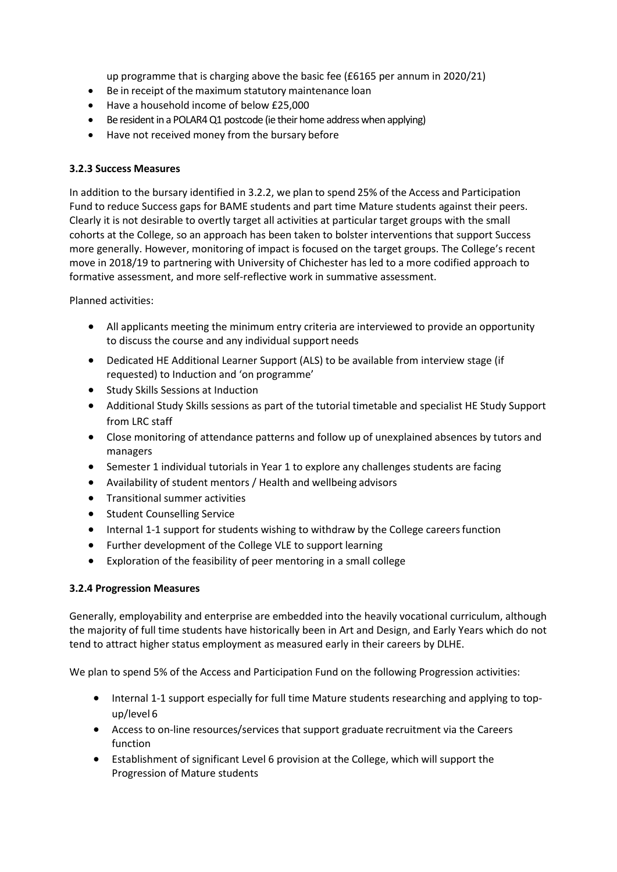up programme that is charging above the basic fee (£6165 per annum in 2020/21)

- Be in receipt of the maximum statutory maintenance loan
- Have a household income of below £25,000
- Be resident in a POLAR4 Q1 postcode (ie their home address when applying)
- Have not received money from the bursary before

#### **3.2.3 Success Measures**

In addition to the bursary identified in 3.2.2, we plan to spend 25% of the Access and Participation Fund to reduce Success gaps for BAME students and part time Mature students against their peers. Clearly it is not desirable to overtly target all activities at particular target groups with the small cohorts at the College, so an approach has been taken to bolster interventions that support Success more generally. However, monitoring of impact is focused on the target groups. The College's recent move in 2018/19 to partnering with University of Chichester has led to a more codified approach to formative assessment, and more self-reflective work in summative assessment.

Planned activities:

- All applicants meeting the minimum entry criteria are interviewed to provide an opportunity to discuss the course and any individual support needs
- Dedicated HE Additional Learner Support (ALS) to be available from interview stage (if requested) to Induction and 'on programme'
- Study Skills Sessions at Induction
- Additional Study Skills sessions as part of the tutorial timetable and specialist HE Study Support from LRC staff
- Close monitoring of attendance patterns and follow up of unexplained absences by tutors and managers
- Semester 1 individual tutorials in Year 1 to explore any challenges students are facing
- Availability of student mentors / Health and wellbeing advisors
- Transitional summer activities
- Student Counselling Service
- Internal 1-1 support for students wishing to withdraw by the College careers function
- Further development of the College VLE to support learning
- Exploration of the feasibility of peer mentoring in a small college

## **3.2.4 Progression Measures**

Generally, employability and enterprise are embedded into the heavily vocational curriculum, although the majority of full time students have historically been in Art and Design, and Early Years which do not tend to attract higher status employment as measured early in their careers by DLHE.

We plan to spend 5% of the Access and Participation Fund on the following Progression activities:

- Internal 1-1 support especially for full time Mature students researching and applying to topup/level 6
- Access to on-line resources/services that support graduate recruitment via the Careers function
- Establishment of significant Level 6 provision at the College, which will support the Progression of Mature students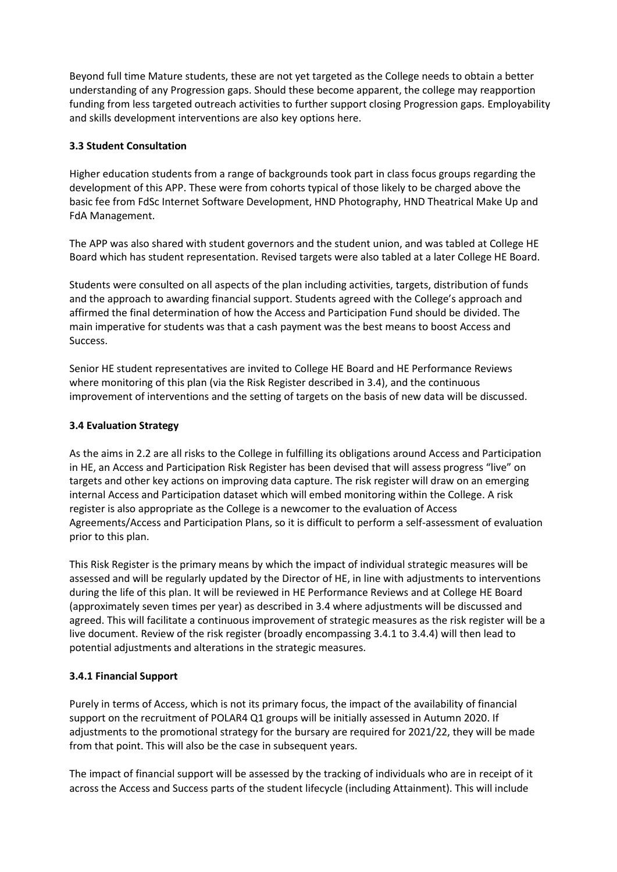Beyond full time Mature students, these are not yet targeted as the College needs to obtain a better understanding of any Progression gaps. Should these become apparent, the college may reapportion funding from less targeted outreach activities to further support closing Progression gaps. Employability and skills development interventions are also key options here.

## **3.3 Student Consultation**

Higher education students from a range of backgrounds took part in class focus groups regarding the development of this APP. These were from cohorts typical of those likely to be charged above the basic fee from FdSc Internet Software Development, HND Photography, HND Theatrical Make Up and FdA Management.

The APP was also shared with student governors and the student union, and was tabled at College HE Board which has student representation. Revised targets were also tabled at a later College HE Board.

Students were consulted on all aspects of the plan including activities, targets, distribution of funds and the approach to awarding financial support. Students agreed with the College's approach and affirmed the final determination of how the Access and Participation Fund should be divided. The main imperative for students was that a cash payment was the best means to boost Access and Success.

Senior HE student representatives are invited to College HE Board and HE Performance Reviews where monitoring of this plan (via the Risk Register described in 3.4), and the continuous improvement of interventions and the setting of targets on the basis of new data will be discussed.

#### **3.4 Evaluation Strategy**

As the aims in 2.2 are all risks to the College in fulfilling its obligations around Access and Participation in HE, an Access and Participation Risk Register has been devised that will assess progress "live" on targets and other key actions on improving data capture. The risk register will draw on an emerging internal Access and Participation dataset which will embed monitoring within the College. A risk register is also appropriate as the College is a newcomer to the evaluation of Access Agreements/Access and Participation Plans, so it is difficult to perform a self-assessment of evaluation prior to this plan.

This Risk Register is the primary means by which the impact of individual strategic measures will be assessed and will be regularly updated by the Director of HE, in line with adjustments to interventions during the life of this plan. It will be reviewed in HE Performance Reviews and at College HE Board (approximately seven times per year) as described in 3.4 where adjustments will be discussed and agreed. This will facilitate a continuous improvement of strategic measures as the risk register will be a live document. Review of the risk register (broadly encompassing 3.4.1 to 3.4.4) will then lead to potential adjustments and alterations in the strategic measures.

## **3.4.1 Financial Support**

Purely in terms of Access, which is not its primary focus, the impact of the availability of financial support on the recruitment of POLAR4 Q1 groups will be initially assessed in Autumn 2020. If adjustments to the promotional strategy for the bursary are required for 2021/22, they will be made from that point. This will also be the case in subsequent years.

The impact of financial support will be assessed by the tracking of individuals who are in receipt of it across the Access and Success parts of the student lifecycle (including Attainment). This will include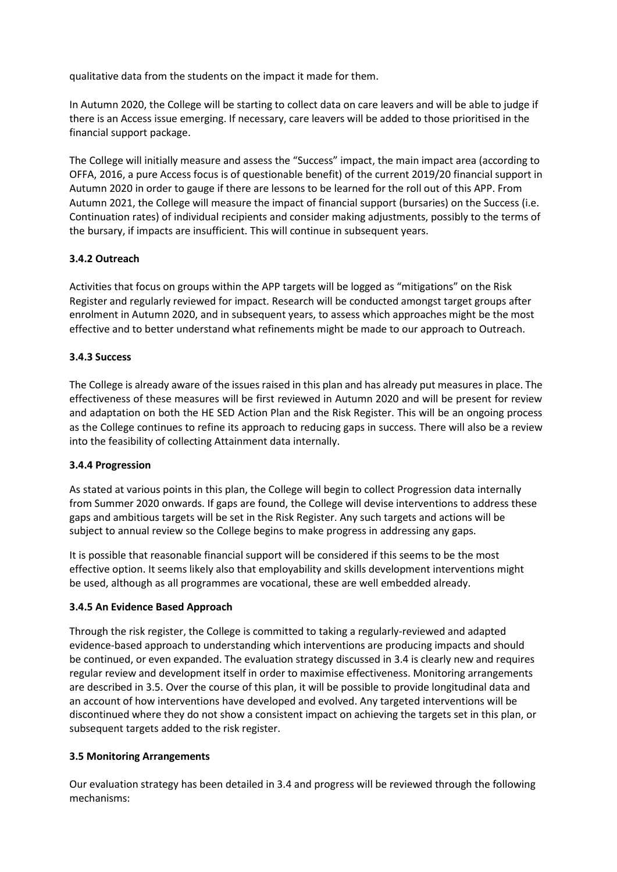qualitative data from the students on the impact it made for them.

In Autumn 2020, the College will be starting to collect data on care leavers and will be able to judge if there is an Access issue emerging. If necessary, care leavers will be added to those prioritised in the financial support package.

The College will initially measure and assess the "Success" impact, the main impact area (according to OFFA, 2016, a pure Access focus is of questionable benefit) of the current 2019/20 financial support in Autumn 2020 in order to gauge if there are lessons to be learned for the roll out of this APP. From Autumn 2021, the College will measure the impact of financial support (bursaries) on the Success (i.e. Continuation rates) of individual recipients and consider making adjustments, possibly to the terms of the bursary, if impacts are insufficient. This will continue in subsequent years.

#### **3.4.2 Outreach**

Activities that focus on groups within the APP targets will be logged as "mitigations" on the Risk Register and regularly reviewed for impact. Research will be conducted amongst target groups after enrolment in Autumn 2020, and in subsequent years, to assess which approaches might be the most effective and to better understand what refinements might be made to our approach to Outreach.

#### **3.4.3 Success**

The College is already aware of the issues raised in this plan and has already put measures in place. The effectiveness of these measures will be first reviewed in Autumn 2020 and will be present for review and adaptation on both the HE SED Action Plan and the Risk Register. This will be an ongoing process as the College continues to refine its approach to reducing gaps in success. There will also be a review into the feasibility of collecting Attainment data internally.

#### **3.4.4 Progression**

As stated at various points in this plan, the College will begin to collect Progression data internally from Summer 2020 onwards. If gaps are found, the College will devise interventions to address these gaps and ambitious targets will be set in the Risk Register. Any such targets and actions will be subject to annual review so the College begins to make progress in addressing any gaps.

It is possible that reasonable financial support will be considered if this seems to be the most effective option. It seems likely also that employability and skills development interventions might be used, although as all programmes are vocational, these are well embedded already.

#### **3.4.5 An Evidence Based Approach**

Through the risk register, the College is committed to taking a regularly-reviewed and adapted evidence-based approach to understanding which interventions are producing impacts and should be continued, or even expanded. The evaluation strategy discussed in 3.4 is clearly new and requires regular review and development itself in order to maximise effectiveness. Monitoring arrangements are described in 3.5. Over the course of this plan, it will be possible to provide longitudinal data and an account of how interventions have developed and evolved. Any targeted interventions will be discontinued where they do not show a consistent impact on achieving the targets set in this plan, or subsequent targets added to the risk register.

#### **3.5 Monitoring Arrangements**

Our evaluation strategy has been detailed in 3.4 and progress will be reviewed through the following mechanisms: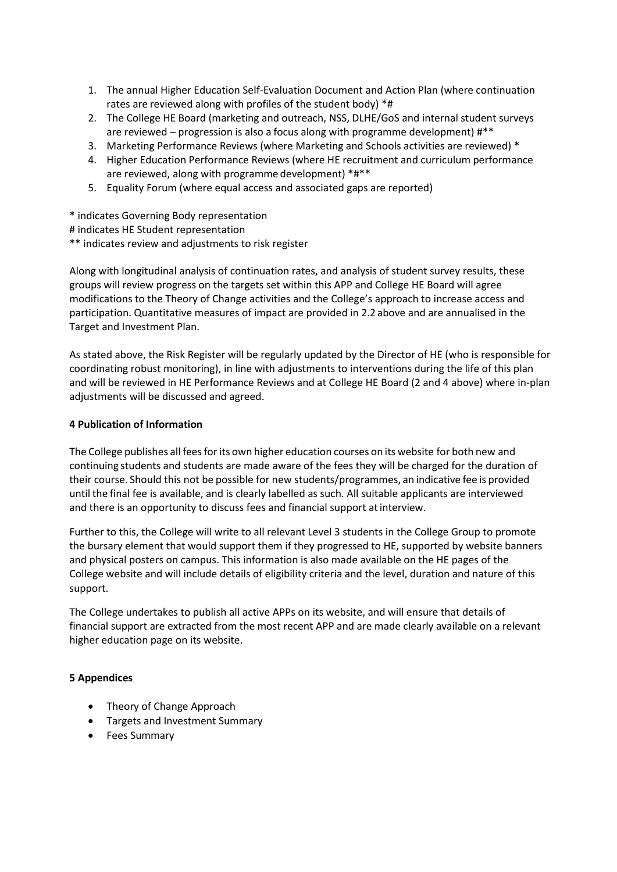- 1. The annual Higher Education Self-Evaluation Document and Action Plan (where continuation rates are reviewed along with profiles of the student body) \*#
- 2. The College HE Board (marketing and outreach, NSS, DLHE/GoS and internal student surveys are reviewed – progression is also a focus along with programme development) #\*\*
- 3. Marketing Performance Reviews (where Marketing and Schools activities are reviewed) \*
- 4. Higher Education Performance Reviews (where HE recruitment and curriculum performance are reviewed, along with programme development) \*#\*\*
- 5. Equality Forum (where equal access and associated gaps are reported)

\* indicates Governing Body representation

# indicates HE Student representation

\*\* indicates review and adjustments to risk register

Along with longitudinal analysis of continuation rates, and analysis of student survey results, these groups will review progress on the targets set within this APP and College HE Board will agree modifications to the Theory of Change activities and the College's approach to increase access and participation. Quantitative measures of impact are provided in 2.2 above and are annualised in the Target and Investment Plan.

As stated above, the Risk Register will be regularly updated by the Director of HE (who is responsible for coordinating robust monitoring), in line with adjustments to interventions during the life of this plan and will be reviewed in HE Performance Reviews and at College HE Board (2 and 4 above) where in-plan adjustments will be discussed and agreed.

#### **4 Publication of Information**

The College publishes all fees for its own higher education courses on its website for both new and continuing students and students are made aware of the fees they will be charged for the duration of their course. Should this not be possible for new students/programmes, an indicative fee is provided until the final fee is available, and is clearly labelled as such. All suitable applicants are interviewed and there is an opportunity to discuss fees and financial support at interview.

Further to this, the College will write to all relevant Level 3 students in the College Group to promote the bursary element that would support them if they progressed to HE, supported by website banners and physical posters on campus. This information is also made available on the HE pages of the College website and will include details of eligibility criteria and the level, duration and nature of this support.

The College undertakes to publish all active APPs on its website, and will ensure that details of financial support are extracted from the most recent APP and are made clearly available on a relevant higher education page on its website.

#### **5 Appendices**

- Theory of Change Approach
- Targets and Investment Summary
- Fees Summary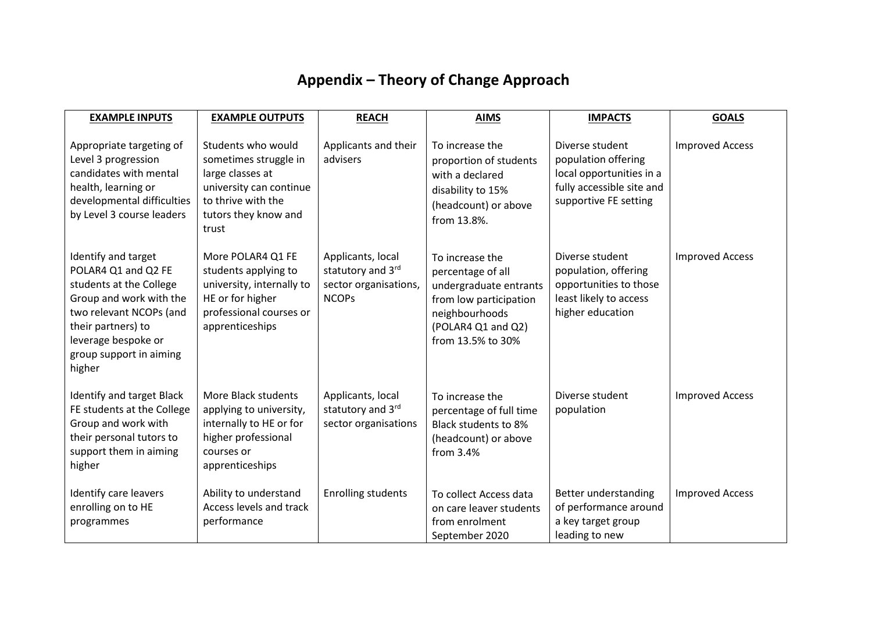# **Appendix – Theory of Change Approach**

| <b>EXAMPLE INPUTS</b>                                                                                                                                                                                         | <b>EXAMPLE OUTPUTS</b>                                                                                                                            | <b>REACH</b>                                                                    | <b>AIMS</b>                                                                                                                                           | <b>IMPACTS</b>                                                                                                           | <b>GOALS</b>           |
|---------------------------------------------------------------------------------------------------------------------------------------------------------------------------------------------------------------|---------------------------------------------------------------------------------------------------------------------------------------------------|---------------------------------------------------------------------------------|-------------------------------------------------------------------------------------------------------------------------------------------------------|--------------------------------------------------------------------------------------------------------------------------|------------------------|
| Appropriate targeting of<br>Level 3 progression<br>candidates with mental<br>health, learning or<br>developmental difficulties<br>by Level 3 course leaders                                                   | Students who would<br>sometimes struggle in<br>large classes at<br>university can continue<br>to thrive with the<br>tutors they know and<br>trust | Applicants and their<br>advisers                                                | To increase the<br>proportion of students<br>with a declared<br>disability to 15%<br>(headcount) or above<br>from 13.8%.                              | Diverse student<br>population offering<br>local opportunities in a<br>fully accessible site and<br>supportive FE setting | <b>Improved Access</b> |
| Identify and target<br>POLAR4 Q1 and Q2 FE<br>students at the College<br>Group and work with the<br>two relevant NCOPs (and<br>their partners) to<br>leverage bespoke or<br>group support in aiming<br>higher | More POLAR4 Q1 FE<br>students applying to<br>university, internally to<br>HE or for higher<br>professional courses or<br>apprenticeships          | Applicants, local<br>statutory and 3rd<br>sector organisations,<br><b>NCOPs</b> | To increase the<br>percentage of all<br>undergraduate entrants<br>from low participation<br>neighbourhoods<br>(POLAR4 Q1 and Q2)<br>from 13.5% to 30% | Diverse student<br>population, offering<br>opportunities to those<br>least likely to access<br>higher education          | <b>Improved Access</b> |
| Identify and target Black<br>FE students at the College<br>Group and work with<br>their personal tutors to<br>support them in aiming<br>higher                                                                | More Black students<br>applying to university,<br>internally to HE or for<br>higher professional<br>courses or<br>apprenticeships                 | Applicants, local<br>statutory and 3rd<br>sector organisations                  | To increase the<br>percentage of full time<br>Black students to 8%<br>(headcount) or above<br>from $3.4%$                                             | Diverse student<br>population                                                                                            | <b>Improved Access</b> |
| Identify care leavers<br>enrolling on to HE<br>programmes                                                                                                                                                     | Ability to understand<br>Access levels and track<br>performance                                                                                   | <b>Enrolling students</b>                                                       | To collect Access data<br>on care leaver students<br>from enrolment<br>September 2020                                                                 | Better understanding<br>of performance around<br>a key target group<br>leading to new                                    | <b>Improved Access</b> |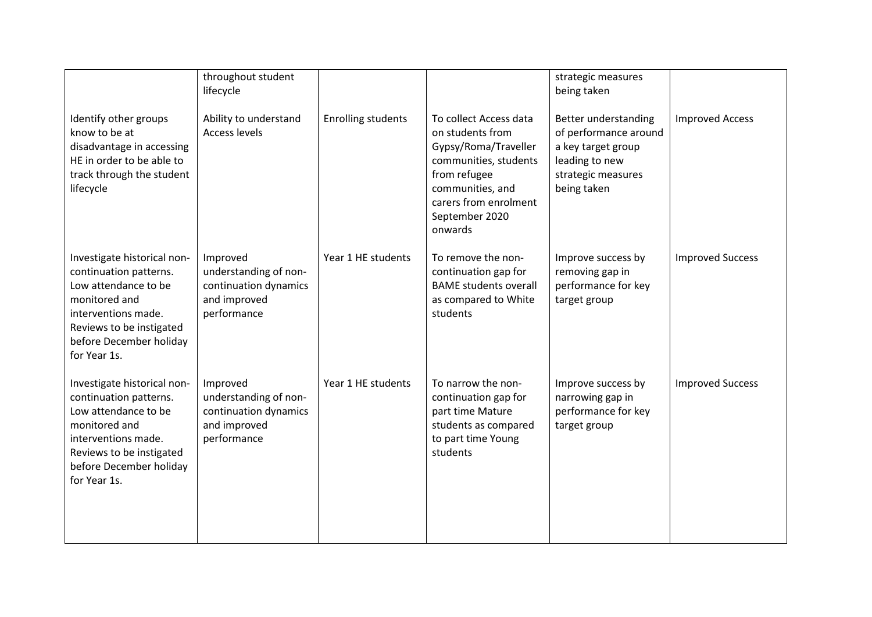|                                                                                                                                                                                              | throughout student<br>lifecycle                                                           |                           |                                                                                                                                                                                       | strategic measures<br>being taken                                                                                          |                         |
|----------------------------------------------------------------------------------------------------------------------------------------------------------------------------------------------|-------------------------------------------------------------------------------------------|---------------------------|---------------------------------------------------------------------------------------------------------------------------------------------------------------------------------------|----------------------------------------------------------------------------------------------------------------------------|-------------------------|
| Identify other groups<br>know to be at<br>disadvantage in accessing<br>HE in order to be able to<br>track through the student<br>lifecycle                                                   | Ability to understand<br><b>Access levels</b>                                             | <b>Enrolling students</b> | To collect Access data<br>on students from<br>Gypsy/Roma/Traveller<br>communities, students<br>from refugee<br>communities, and<br>carers from enrolment<br>September 2020<br>onwards | Better understanding<br>of performance around<br>a key target group<br>leading to new<br>strategic measures<br>being taken | <b>Improved Access</b>  |
| Investigate historical non-<br>continuation patterns.<br>Low attendance to be<br>monitored and<br>interventions made.<br>Reviews to be instigated<br>before December holiday<br>for Year 1s. | Improved<br>understanding of non-<br>continuation dynamics<br>and improved<br>performance | Year 1 HE students        | To remove the non-<br>continuation gap for<br><b>BAME students overall</b><br>as compared to White<br>students                                                                        | Improve success by<br>removing gap in<br>performance for key<br>target group                                               | <b>Improved Success</b> |
| Investigate historical non-<br>continuation patterns.<br>Low attendance to be<br>monitored and<br>interventions made.<br>Reviews to be instigated<br>before December holiday<br>for Year 1s. | Improved<br>understanding of non-<br>continuation dynamics<br>and improved<br>performance | Year 1 HE students        | To narrow the non-<br>continuation gap for<br>part time Mature<br>students as compared<br>to part time Young<br>students                                                              | Improve success by<br>narrowing gap in<br>performance for key<br>target group                                              | <b>Improved Success</b> |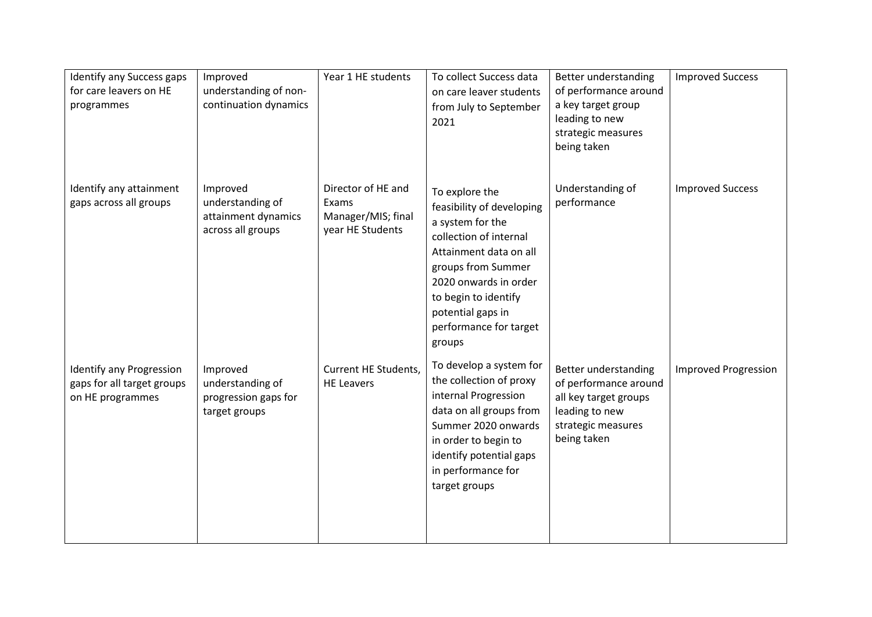| Identify any Success gaps<br>for care leavers on HE<br>programmes                 | Improved<br>understanding of non-<br>continuation dynamics               | Year 1 HE students                                                    | To collect Success data<br>on care leaver students<br>from July to September<br>2021                                                                                                                                                                | Better understanding<br>of performance around<br>a key target group<br>leading to new<br>strategic measures<br>being taken    | <b>Improved Success</b>     |
|-----------------------------------------------------------------------------------|--------------------------------------------------------------------------|-----------------------------------------------------------------------|-----------------------------------------------------------------------------------------------------------------------------------------------------------------------------------------------------------------------------------------------------|-------------------------------------------------------------------------------------------------------------------------------|-----------------------------|
| Identify any attainment<br>gaps across all groups                                 | Improved<br>understanding of<br>attainment dynamics<br>across all groups | Director of HE and<br>Exams<br>Manager/MIS; final<br>year HE Students | To explore the<br>feasibility of developing<br>a system for the<br>collection of internal<br>Attainment data on all<br>groups from Summer<br>2020 onwards in order<br>to begin to identify<br>potential gaps in<br>performance for target<br>groups | Understanding of<br>performance                                                                                               | <b>Improved Success</b>     |
| <b>Identify any Progression</b><br>gaps for all target groups<br>on HE programmes | Improved<br>understanding of<br>progression gaps for<br>target groups    | Current HE Students,<br><b>HE Leavers</b>                             | To develop a system for<br>the collection of proxy<br>internal Progression<br>data on all groups from<br>Summer 2020 onwards<br>in order to begin to<br>identify potential gaps<br>in performance for<br>target groups                              | Better understanding<br>of performance around<br>all key target groups<br>leading to new<br>strategic measures<br>being taken | <b>Improved Progression</b> |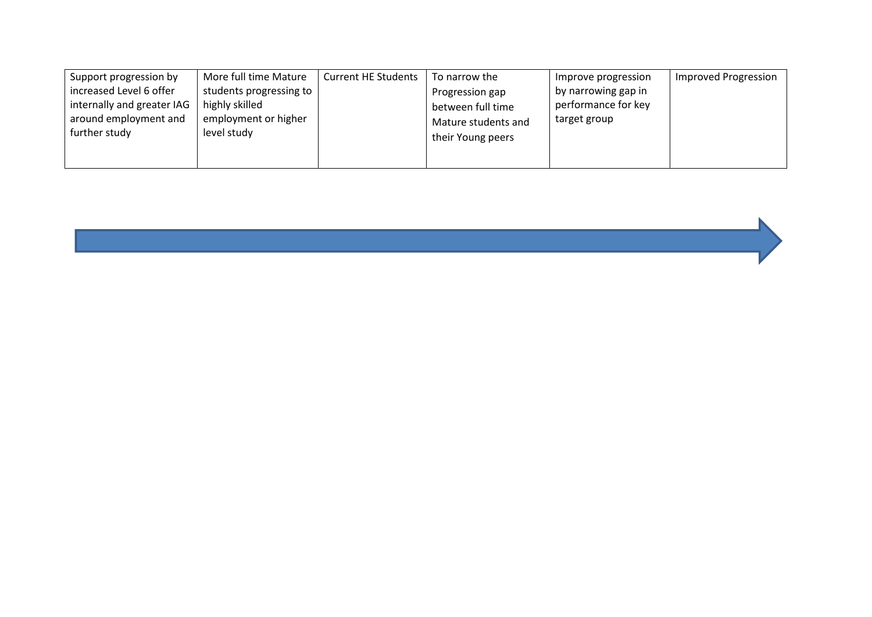| Support progression by     | More full time Mature   | <b>Current HE Students</b> | To narrow the       | Improve progression | <b>Improved Progression</b> |
|----------------------------|-------------------------|----------------------------|---------------------|---------------------|-----------------------------|
| increased Level 6 offer    | students progressing to |                            | Progression gap     | by narrowing gap in |                             |
| internally and greater IAG | highly skilled          |                            | between full time   | performance for key |                             |
| around employment and      | employment or higher    |                            | Mature students and | target group        |                             |
| further study              | level study             |                            | their Young peers   |                     |                             |
|                            |                         |                            |                     |                     |                             |
|                            |                         |                            |                     |                     |                             |

a sa kabilang pangalang sa pag-agamatan ng pangalang na pangalang na pangalang na pangalang na pangalang na pa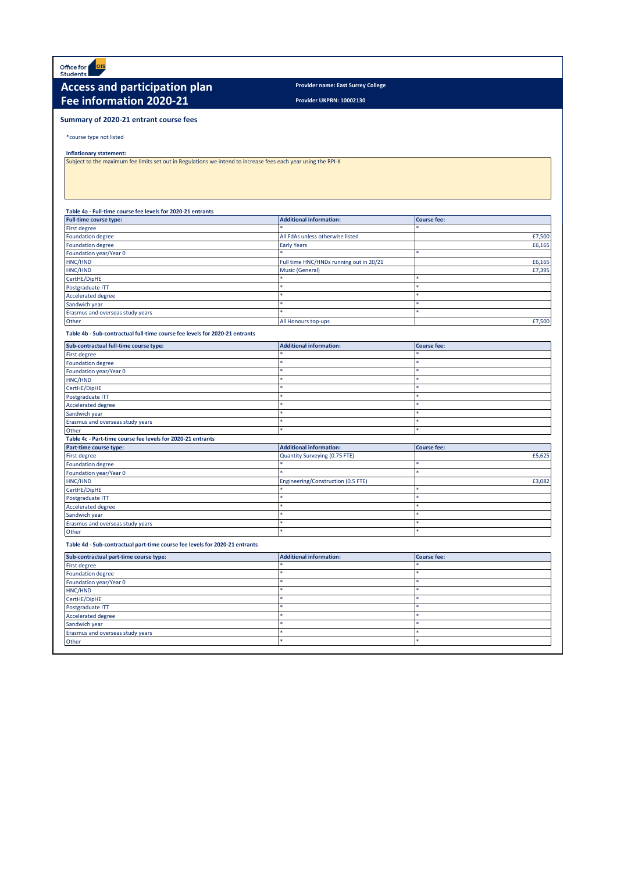Office for<br>Students **ofs** 

## **Access and participation plan Provider name: East Surrey College Fee information 2020-21**

**Provider UKPRN: 10002130**

#### **Summary of 2020-21 entrant course fees**

\*course type not listed

#### **Inflationary statement:**

Subject to the maximum fee limits set out in Regulations we intend to increase fees each year using the RPI-X

| Table 4a - Full-time course fee levels for 2020-21 entrants |                                  |                    |  |  |  |  |  |  |  |
|-------------------------------------------------------------|----------------------------------|--------------------|--|--|--|--|--|--|--|
| <b>Full-time course type:</b>                               | Additional information:          | <b>Course fee:</b> |  |  |  |  |  |  |  |
| <b>First degree</b>                                         |                                  |                    |  |  |  |  |  |  |  |
| Foundation degree                                           | All FdAs unless otherwise listed | £7.500             |  |  |  |  |  |  |  |
| Foundation degree                                           | <b>Early Years</b>               | £6.165             |  |  |  |  |  |  |  |

| Foundation degree                | <b>Early Years</b>                      | £6,165 |
|----------------------------------|-----------------------------------------|--------|
| Foundation year/Year 0           |                                         |        |
| HNC/HND                          | Full time HNC/HNDs running out in 20/21 | £6,165 |
| HNC/HND                          | <b>Music (General)</b>                  | £7,395 |
| CertHE/DipHE                     |                                         |        |
| Postgraduate ITT                 |                                         |        |
| Accelerated degree               |                                         |        |
| Sandwich year                    |                                         |        |
| Erasmus and overseas study years |                                         |        |
| Other                            | All Honours top-ups                     | £7,500 |
|                                  |                                         |        |

#### **Table 4b - Sub-contractual full-time course fee levels for 2020-21 entrants**

| Sub-contractual full-time course type:                      | <b>Additional information:</b>     | <b>Course fee:</b> |  |  |  |  |  |  |
|-------------------------------------------------------------|------------------------------------|--------------------|--|--|--|--|--|--|
| First degree                                                |                                    |                    |  |  |  |  |  |  |
| <b>Foundation degree</b>                                    |                                    |                    |  |  |  |  |  |  |
| Foundation year/Year 0                                      |                                    |                    |  |  |  |  |  |  |
| HNC/HND                                                     |                                    |                    |  |  |  |  |  |  |
| CertHE/DipHE                                                |                                    |                    |  |  |  |  |  |  |
| Postgraduate ITT                                            |                                    |                    |  |  |  |  |  |  |
| <b>Accelerated degree</b>                                   |                                    |                    |  |  |  |  |  |  |
| Sandwich year                                               |                                    |                    |  |  |  |  |  |  |
| Erasmus and overseas study years                            |                                    |                    |  |  |  |  |  |  |
| Other                                                       | ż                                  |                    |  |  |  |  |  |  |
| Table 4c - Part-time course fee levels for 2020-21 entrants |                                    |                    |  |  |  |  |  |  |
|                                                             |                                    |                    |  |  |  |  |  |  |
| Part-time course type:                                      | <b>Additional information:</b>     | <b>Course fee:</b> |  |  |  |  |  |  |
| <b>First degree</b>                                         | Quantity Surveying (0.75 FTE)      | £5,625             |  |  |  |  |  |  |
| <b>Foundation degree</b>                                    |                                    |                    |  |  |  |  |  |  |
| Foundation year/Year 0                                      |                                    |                    |  |  |  |  |  |  |
| HNC/HND                                                     | Engineering/Construction (0.5 FTE) | £3,082             |  |  |  |  |  |  |
| CertHE/DipHE                                                |                                    |                    |  |  |  |  |  |  |
| Postgraduate ITT                                            |                                    |                    |  |  |  |  |  |  |
| <b>Accelerated degree</b>                                   |                                    |                    |  |  |  |  |  |  |
| Sandwich year                                               |                                    |                    |  |  |  |  |  |  |
| Erasmus and overseas study years                            | sk.                                |                    |  |  |  |  |  |  |

#### **Table 4d - Sub-contractual part-time course fee levels for 2020-21 entrants**

| Sub-contractual part-time course type: | <b>Additional information:</b> | <b>Course fee:</b> |  |  |
|----------------------------------------|--------------------------------|--------------------|--|--|
| First degree                           |                                |                    |  |  |
| <b>Foundation degree</b>               |                                |                    |  |  |
| Foundation year/Year 0                 |                                |                    |  |  |
| HNC/HND                                |                                |                    |  |  |
| CertHE/DipHE                           |                                |                    |  |  |
| Postgraduate ITT                       |                                |                    |  |  |
| <b>Accelerated degree</b>              |                                |                    |  |  |
| Sandwich year                          |                                |                    |  |  |
| Erasmus and overseas study years       |                                |                    |  |  |
| Other                                  |                                |                    |  |  |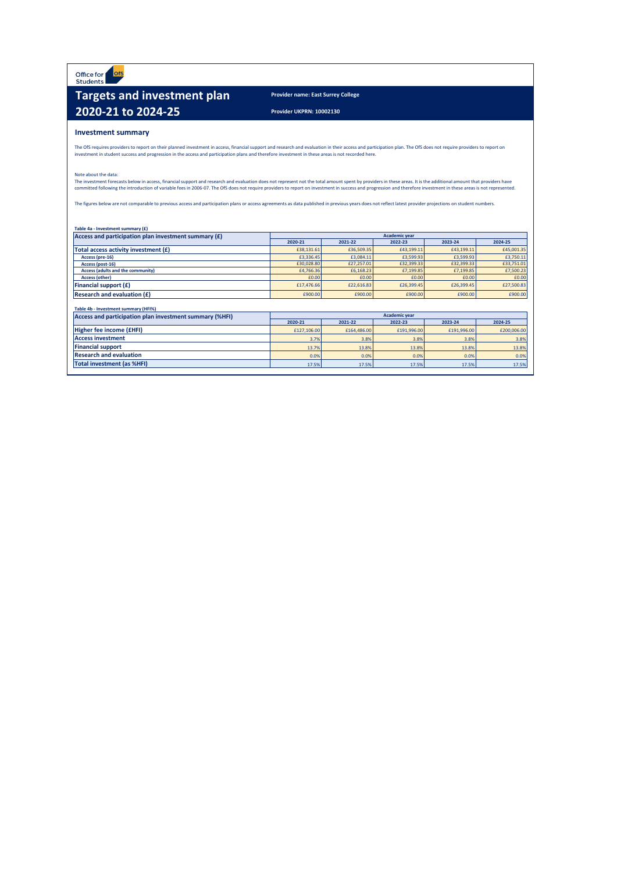Office for ofs

# **Targets and investment plan Provider name: East Surrey College 2020-21 to 2024-25 Provider UKPRN: 10002130**

#### **Investment summary**

The OfS requires providers to report on their planned investment in access, financial support and research and evaluation in their access and participation plan. The OfS does not require providers to report on<br>investment i

#### Note about the data:

The investment forecasts below in access, financial support and research and evaluation does not represent not the total amount spent by providers in these areas. It is the additional amount that providers have<br>committed f

The figures below are not comparable to previous access and participation plans or access agreements as data published in previous years does not reflect latest provider projections on student numbers.

| Table 4a - Investment summary (£)                       |            |                      |                      |                    |            |  |  |  |  |  |
|---------------------------------------------------------|------------|----------------------|----------------------|--------------------|------------|--|--|--|--|--|
| Access and participation plan investment summary (£)    |            | <b>Academic vear</b> |                      |                    |            |  |  |  |  |  |
|                                                         | 2020-21    | 2021-22              | 2022-23              | 2023-24            |            |  |  |  |  |  |
| Total access activity investment (£)                    | £38,131,61 | £36,509.35           | £43,199,11           | £43.199.11         | £45,001.35 |  |  |  |  |  |
| Access (pre-16)                                         | £3,336,45  | £3,084.11            | £3,599.93            | £3,599.93          | £3,750.11  |  |  |  |  |  |
| Access (post-16)                                        | £30,028.80 | £27,257.01           | £32,399.33           | £32,399.33         | £33,751.01 |  |  |  |  |  |
| <b>Access (adults and the community)</b>                | £4,766,36  | £6,168,23            | £7.199.85            | £7,199.85          | £7,500.23  |  |  |  |  |  |
| <b>Access (other)</b>                                   | £0.00      | £0.00                | £0.00                | £0.00              | £0.00      |  |  |  |  |  |
| <b>Financial support (£)</b>                            | £17,476.66 | £22,616.83           | £26,399.45           | £26,399.45         | £27,500.83 |  |  |  |  |  |
| <b>Research and evaluation (£)</b>                      | £900.00    | £900.00              | £900.00              | £900.00            | £900.00    |  |  |  |  |  |
| Table 4b - Investment summary (HFI%)                    |            |                      |                      |                    |            |  |  |  |  |  |
| Access and participation plan investment summary (%HFI) |            |                      | <b>Academic vear</b> |                    |            |  |  |  |  |  |
|                                                         | 2020-21    | 2021-22              | 2022-23              | 2024-25<br>2023-24 |            |  |  |  |  |  |
|                                                         |            |                      |                      |                    |            |  |  |  |  |  |

|                                | 2020-21     | 2021-22     | 2022-23     | 2023-24     | 2024-25     |  |
|--------------------------------|-------------|-------------|-------------|-------------|-------------|--|
| Higher fee income (£HFI)       | £127,106,00 | £164,486.00 | £191,996.00 | £191.996.00 | £200,006.00 |  |
| <b>Access investment</b>       | 3.7%        | 3.8%        | 3.8%        | 3.8%        | 3.8%        |  |
| <b>Financial support</b>       | 13.7%       | 13.8%       | 13.8%       | 13.8%       | 13.8%       |  |
| <b>Research and evaluation</b> | 0.0%        | 0.0%        | 0.0%        | 0.0%        | 0.0%        |  |
| Total investment (as %HFI)     | 17.5%       | 17.5%       | 17.5%       | 17.5%       | 17.5%       |  |

 $\sim$  10  $\mu$